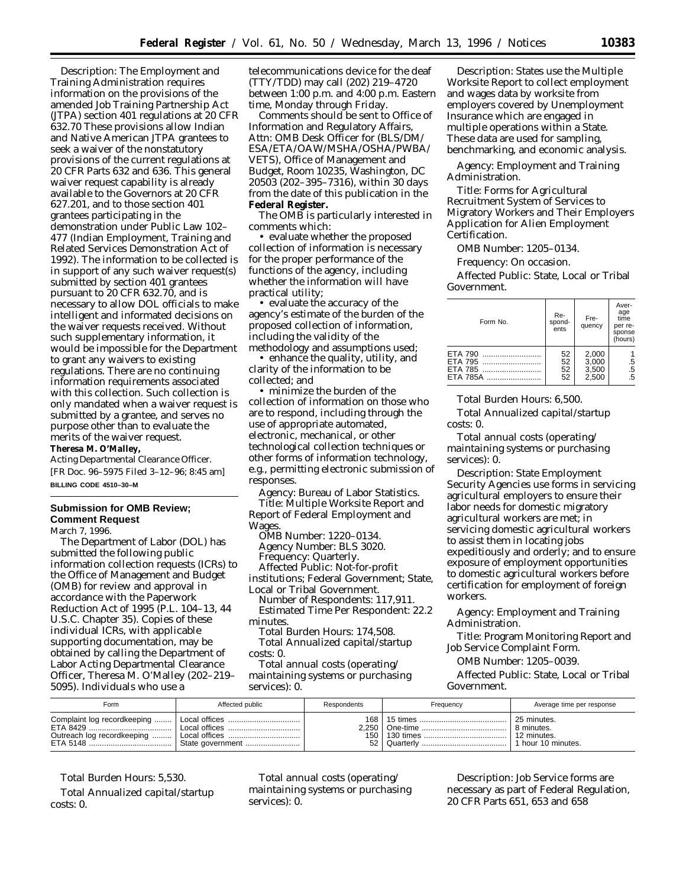*Description:* The Employment and Training Administration requires information on the provisions of the amended Job Training Partnership Act (JTPA) section 401 regulations at 20 CFR 632.70 These provisions allow Indian and Native American JTPA grantees to seek a waiver of the nonstatutory provisions of the current regulations at 20 CFR Parts 632 and 636. This general waiver request capability is already available to the Governors at 20 CFR 627.201, and to those section 401 grantees participating in the demonstration under Public Law 102– 477 (Indian Employment, Training and Related Services Demonstration Act of 1992). The information to be collected is in support of any such waiver request(s) submitted by section 401 grantees pursuant to 20 CFR 632.70, and is necessary to allow DOL officials to make intelligent and informated decisions on the waiver requests received. Without such supplementary information, it would be impossible for the Department to grant any waivers to existing regulations. There are no continuing information requirements associated with this collection. Such collection is only mandated when a waiver request is submitted by a grantee, and serves no purpose other than to evaluate the merits of the waiver request. **Theresa M. O'Malley,**

*Acting Departmental Clearance Officer.* [FR Doc. 96–5975 Filed 3–12–96; 8:45 am] **BILLING CODE 4510–30–M**

# **Submission for OMB Review; Comment Request**

March 7, 1996.

The Department of Labor (DOL) has submitted the following public information collection requests (ICRs) to the Office of Management and Budget (OMB) for review and approval in accordance with the Paperwork Reduction Act of 1995 (P.L. 104–13, 44 U.S.C. Chapter 35). Copies of these individual ICRs, with applicable supporting documentation, may be obtained by calling the Department of Labor Acting Departmental Clearance Officer, Theresa M. O'Malley (202–219– 5095). Individuals who use a

telecommunications device for the deaf (TTY/TDD) may call (202) 219–4720 between 1:00 p.m. and 4:00 p.m. Eastern time, Monday through Friday.

Comments should be sent to Office of Information and Regulatory Affairs, Attn: OMB Desk Officer for (BLS/DM/ ESA/ETA/OAW/MSHA/OSHA/PWBA/ VETS), Office of Management and Budget, Room 10235, Washington, DC 20503 (202–395–7316), within 30 days from the date of this publication in the **Federal Register.**

The OMB is particularly interested in comments which:

• evaluate whether the proposed collection of information is necessary for the proper performance of the functions of the agency, including whether the information will have practical utility;

• evaluate the accuracy of the agency's estimate of the burden of the proposed collection of information, including the validity of the methodology and assumptions used;

• enhance the quality, utility, and clarity of the information to be collected; and

• minimize the burden of the collection of information on those who are to respond, including through the use of appropriate automated, electronic, mechanical, or other technological collection techniques or other forms of information technology, e.g., permitting electronic submission of responses.

*Agency:* Bureau of Labor Statistics. *Title:* Multiple Worksite Report and Report of Federal Employment and Wages.

*OMB Number:* 1220–0134. *Agency Number:* BLS 3020. *Frequency:* Quarterly.

*Affected Public:* Not-for-profit institutions; Federal Government; State, Local or Tribal Government.

*Number of Respondents:* 117,911. *Estimated Time Per Respondent:* 22.2 minutes.

*Total Burden Hours:* 174,508. *Total Annualized capital/startup costs:* 0.

*Total annual costs (operating/ maintaining systems or purchasing services):* 0.

*Description:* States use the Multiple Worksite Report to collect employment and wages data by worksite from employers covered by Unemployment Insurance which are engaged in multiple operations within a State. These data are used for sampling, benchmarking, and economic analysis.

*Agency:* Employment and Training Administration.

*Title:* Forms for Agricultural Recruitment System of Services to Migratory Workers and Their Employers Application for Alien Employment Certification.

*OMB Number:* 1205–0134.

*Frequency:* On occasion.

*Affected Public:* State, Local or Tribal Government.

| Form No. | Re-<br>spond-<br>ents | Fre-<br>quency | Aver-<br>age<br>time<br>per re-<br>sponse<br>(hours) |
|----------|-----------------------|----------------|------------------------------------------------------|
| ETA 790  | 52                    | 2,000          |                                                      |
| ETA 795  | 52                    | 3,000          |                                                      |
| ETA 785  | 52                    | 3,500          | $\frac{5}{5}$                                        |
| ETA 785A | 52                    | 2,500          | .5                                                   |

*Total Burden Hours:* 6,500.

*Total Annualized capital/startup costs:* 0.

*Total annual costs (operating/ maintaining systems or purchasing services):* 0.

*Description:* State Employment Security Agencies use forms in servicing agricultural employers to ensure their labor needs for domestic migratory agricultural workers are met; in servicing domestic agricultural workers to assist them in locating jobs expeditiously and orderly; and to ensure exposure of employment opportunities to domestic agricultural workers before certification for employment of foreign workers.

*Agency:* Employment and Training Administration.

*Title:* Program Monitoring Report and Job Service Complaint Form.

*OMB Number:* 1205–0039.

*Affected Public:* State, Local or Tribal Government.

| Form                                                                  | Affected public                | Respondents               | Frequency | Average time per response                                    |
|-----------------------------------------------------------------------|--------------------------------|---------------------------|-----------|--------------------------------------------------------------|
| Complaint log recordkeeping<br>ETA 8429<br>Outreach log recordkeeping | Local offices<br>Local offices | 168<br>2.250<br>150<br>52 | Quarterly | 25 minutes.<br>8 minutes.<br>12 minutes.<br>hour 10 minutes. |

*Total Burden Hours: 5,530. Total Annualized capital/startup costs:* 0.

*Total annual costs (operating/ maintaining systems or purchasing services):* 0.

*Description:* Job Service forms are necessary as part of Federal Regulation, 20 CFR Parts 651, 653 and 658